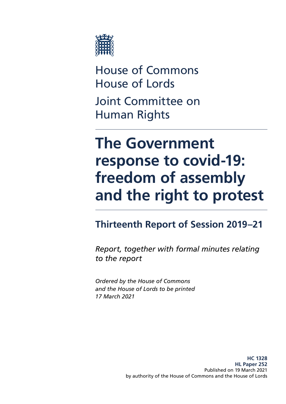

House of Commons House of Lords Joint Committee on Human Rights

# **The Government response to covid-19: freedom of assembly and the right to protest**

## **Thirteenth Report of Session 2019–21**

*Report, together with formal minutes relating to the report*

*Ordered by the House of Commons and the House of Lords to be printed 17 March 2021*

> **HC 1328 HL Paper 252** Published on 19 March 2021 by authority of the House of Commons and the House of Lords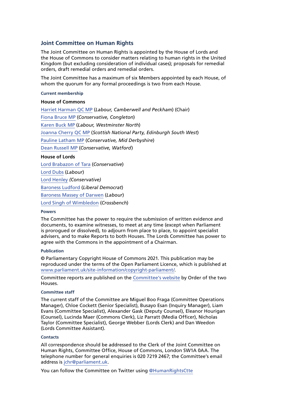#### **Joint Committee on Human Rights**

The Joint Committee on Human Rights is appointed by the House of Lords and the House of Commons to consider matters relating to human rights in the United Kingdom (but excluding consideration of individual cases); proposals for remedial orders, draft remedial orders and remedial orders.

The Joint Committee has a maximum of six Members appointed by each House, of whom the quorum for any formal proceedings is two from each House.

#### **Current membership**

#### **House of Commons**

[Harriet Harman QC MP](https://members.parliament.uk/member/150/contact) (*Labour, Camberwell and Peckham*) (Chair) [Fiona Bruce MP](https://members.parliament.uk/member/3958/contact) (*Conservative, Congleton*) [Karen Buck MP](https://members.parliament.uk/member/199/contact) (*Labour, Westminster North*) [Joanna Cherry QC MP](https://members.parliament.uk/member/4419/contact) (*Scottish National Party, Edinburgh South West*) [Pauline Latham MP](https://members.parliament.uk/member/4025/contact) (*Conservative, Mid Derbyshire*) [Dean Russell MP](https://members.parliament.uk/member/4812/contact) (*Conservative, Watford*) **House of Lords**

[Lord Brabazon of Tara](https://members.parliament.uk/member/3493/contact) (*Conservative*) [Lord Dubs](https://members.parliament.uk/member/805/contact) (*Labour*) [Lord Henley](https://members.parliament.uk/member/2616/contact) *(Conservative)* [Baroness Ludford](https://members.parliament.uk/member/1867/contact) (*Liberal Democrat*) [Baroness Massey of Darwen](https://members.parliament.uk/member/2489/contact) (*Labour*) [Lord Singh of Wimbledon](https://members.parliament.uk/member/4251/contact) (*Crossbench*)

#### **Powers**

The Committee has the power to require the submission of written evidence and documents, to examine witnesses, to meet at any time (except when Parliament is prorogued or dissolved), to adjourn from place to place, to appoint specialist advisers, and to make Reports to both Houses. The Lords Committee has power to agree with the Commons in the appointment of a Chairman.

#### **Publication**

© Parliamentary Copyright House of Commons 2021. This publication may be reproduced under the terms of the Open Parliament Licence, which is published at [www.parliament.uk/site-information/copyright-parliament/](https://www.parliament.uk/site-information/copyright-parliament/).

Committee reports are published on the [Committee's website](https://committees.parliament.uk/committee/93/human-rights-joint-committee/) by Order of the two Houses.

#### **Committee staff**

The current staff of the Committee are Miguel Boo Fraga (Committee Operations Manager), Chloe Cockett (Senior Specialist), Busayo Esan (Inquiry Manager), Liam Evans (Committee Specialist), Alexander Gask (Deputy Counsel), Eleanor Hourigan (Counsel), Lucinda Maer (Commons Clerk), Liz Parratt (Media Officer), Nicholas Taylor (Committee Specialist), George Webber (Lords Clerk) and Dan Weedon (Lords Committee Assistant).

#### **Contacts**

All correspondence should be addressed to the Clerk of the Joint Committee on Human Rights, Committee Office, House of Commons, London SW1A 0AA. The telephone number for general enquiries is 020 7219 2467; the Committee's email address is [jchr@parliament.uk](mailto:jchr%40parliament.uk?subject=).

You can follow the Committee on Twitter using [@HumanRightsCtte](https://twitter.com/HumanRightsCtte?ref_src=twsrc%5Egoogle%7Ctwcamp%5Eserp%7Ctwgr%5Eauthor)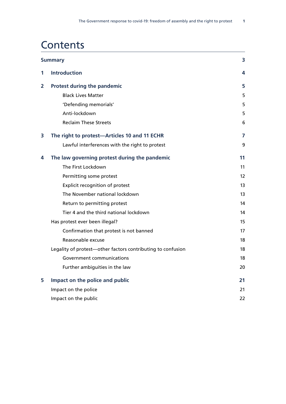## **Contents**

| <b>Summary</b> |                                                             |                |
|----------------|-------------------------------------------------------------|----------------|
| 1              | <b>Introduction</b>                                         | 4              |
| $\overline{2}$ | <b>Protest during the pandemic</b>                          | 5              |
|                | <b>Black Lives Matter</b>                                   | 5              |
|                | 'Defending memorials'                                       | 5              |
|                | Anti-lockdown                                               | 5              |
|                | <b>Reclaim These Streets</b>                                | 6              |
| 3              | The right to protest-Articles 10 and 11 ECHR                | $\overline{7}$ |
|                | Lawful interferences with the right to protest              | 9              |
| 4              | The law governing protest during the pandemic               | 11             |
|                | The First Lockdown                                          | 11             |
|                | Permitting some protest                                     | 12             |
|                | Explicit recognition of protest                             | 13             |
|                | The November national lockdown                              | 13             |
|                | Return to permitting protest                                | 14             |
|                | Tier 4 and the third national lockdown                      | 14             |
|                | Has protest ever been illegal?                              | 15             |
|                | Confirmation that protest is not banned                     | 17             |
|                | Reasonable excuse                                           | 18             |
|                | Legality of protest-other factors contributing to confusion | 18             |
|                | Government communications                                   | 18             |
|                | Further ambiguities in the law                              | 20             |
| 5              | Impact on the police and public                             | 21             |
|                | Impact on the police                                        | 21             |
|                | Impact on the public                                        | 22             |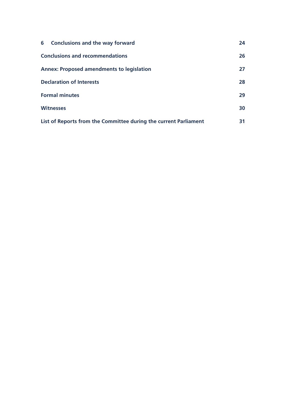| 6 Conclusions and the way forward                                | 24 |
|------------------------------------------------------------------|----|
| <b>Conclusions and recommendations</b>                           | 26 |
| <b>Annex: Proposed amendments to legislation</b>                 | 27 |
| <b>Declaration of Interests</b>                                  | 28 |
| <b>Formal minutes</b>                                            | 29 |
| <b>Witnesses</b>                                                 | 30 |
| List of Reports from the Committee during the current Parliament |    |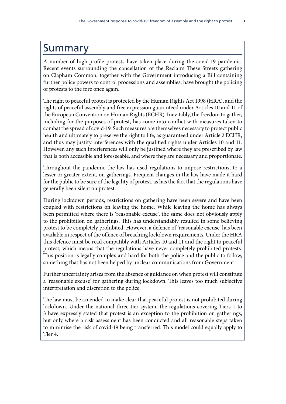## <span id="page-4-0"></span>Summary

A number of high-profile protests have taken place during the covid-19 pandemic. Recent events surrounding the cancellation of the Reclaim These Streets gathering on Clapham Common, together with the Government introducing a Bill containing further police powers to control processions and assemblies, have brought the policing of protests to the fore once again.

The right to peaceful protest is protected by the Human Rights Act 1998 (HRA), and the rights of peaceful assembly and free expression guaranteed under Articles 10 and 11 of the European Convention on Human Rights (ECHR). Inevitably, the freedom to gather, including for the purposes of protest, has come into conflict with measures taken to combat the spread of covid-19. Such measures are themselves necessary to protect public health and ultimately to preserve the right to life, as guaranteed under Article 2 ECHR, and thus may justify interferences with the qualified rights under Articles 10 and 11. However, any such interferences will only be justified where they are prescribed by law that is both accessible and foreseeable, and where they are necessary and proportionate.

Throughout the pandemic the law has used regulations to impose restrictions, to a lesser or greater extent, on gatherings. Frequent changes in the law have made it hard for the public to be sure of the legality of protest, as has the fact that the regulations have generally been silent on protest.

During lockdown periods, restrictions on gathering have been severe and have been coupled with restrictions on leaving the home. While leaving the home has always been permitted where there is 'reasonable excuse', the same does not obviously apply to the prohibition on gatherings. This has understandably resulted in some believing protest to be completely prohibited. However, a defence of 'reasonable excuse' has been available in respect of the offence of breaching lockdown requirements. Under the HRA this defence must be read compatibly with Articles 10 and 11 and the right to peaceful protest, which means that the regulations have never completely prohibited protests. This position is legally complex and hard for both the police and the public to follow, something that has not been helped by unclear communications from Government.

Further uncertainty arises from the absence of guidance on when protest will constitute a 'reasonable excuse' for gathering during lockdown. This leaves too much subjective interpretation and discretion to the police.

The law must be amended to make clear that peaceful protest is not prohibited during lockdown. Under the national three tier system, the regulations covering Tiers 1 to 3 have expressly stated that protest is an exception to the prohibition on gatherings, but only where a risk assessment has been conducted and all reasonable steps taken to minimise the risk of covid-19 being transferred. This model could equally apply to Tier 4.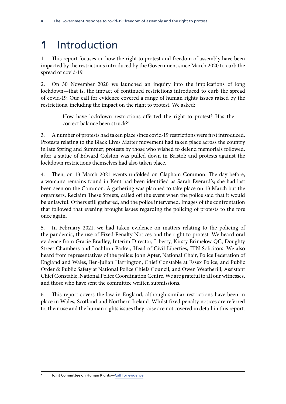## <span id="page-5-0"></span>**1** Introduction

1. This report focuses on how the right to protest and freedom of assembly have been impacted by the restrictions introduced by the Government since March 2020 to curb the spread of covid-19.

2. On 30 November 2020 we launched an inquiry into the implications of long lockdown—that is, the impact of continued restrictions introduced to curb the spread of covid-19. Our call for evidence covered a range of human rights issues raised by the restrictions, including the impact on the right to protest. We asked:

> How have lockdown restrictions affected the right to protest? Has the correct balance been struck?<sup>1</sup>

3. A number of protests had taken place since covid-19 restrictions were first introduced. Protests relating to the Black Lives Matter movement had taken place across the country in late Spring and Summer; protests by those who wished to defend memorials followed, after a statue of Edward Colston was pulled down in Bristol; and protests against the lockdown restrictions themselves had also taken place.

4. Then, on 13 March 2021 events unfolded on Clapham Common. The day before, a woman's remains found in Kent had been identified as Sarah Everard's; she had last been seen on the Common. A gathering was planned to take place on 13 March but the organisers, Reclaim These Streets, called off the event when the police said that it would be unlawful. Others still gathered, and the police intervened. Images of the confrontation that followed that evening brought issues regarding the policing of protests to the fore once again.

5. In February 2021, we had taken evidence on matters relating to the policing of the pandemic, the use of Fixed-Penalty Notices and the right to protest. We heard oral evidence from Gracie Bradley, Interim Director, Liberty, Kirsty Brimelow QC, Doughty Street Chambers and Lochlinn Parker, Head of Civil Liberties, ITN Solicitors. We also heard from representatives of the police: John Apter, National Chair, Police Federation of England and Wales, Ben-Julian Harrington, Chief Constable at Essex Police, and Public Order & Public Safety at National Police Chiefs Council, and Owen Weatherill, Assistant Chief Constable, National Police Coordination Centre. We are grateful to all our witnesses, and those who have sent the committee written submissions.

6. This report covers the law in England, although similar restrictions have been in place in Wales, Scotland and Northern Ireland. Whilst fixed penalty notices are referred to, their use and the human rights issues they raise are not covered in detail in this report.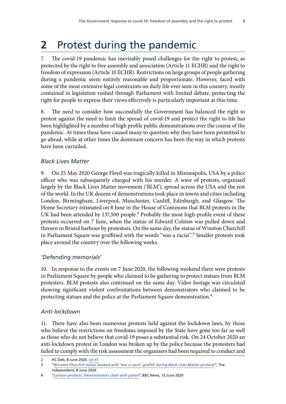## <span id="page-6-0"></span>**2** Protest during the pandemic

7. The covid-19 pandemic has inevitably posed challenges for the right to protest, as protected by the right to free assembly and association (Article 11 ECHR) and the right to freedom of expression (Article 10 ECHR). Restrictions on large groups of people gathering during a pandemic seem entirely reasonable and proportionate. However, faced with some of the most extensive legal constraints on daily life ever seen in this country, mostly contained in legislation rushed through Parliament with limited debate, protecting the right for people to express their views effectively is particularly important at this time.

8. The need to consider how successfully the Government has balanced the right to protest against the need to limit the spread of covid-19 and protect the right to life has been highlighted by a number of high profile public demonstrations over the course of the pandemic. At times these have caused many to question why they have been permitted to go ahead, while at other times the dominant concern has been the way in which protests have been curtailed.

### *Black Lives Matter*

9. On 25 May 2020 George Floyd was tragically killed in Minneapolis, USA by a police officer who was subsequently charged with his murder. A wave of protests, organised largely by the Black Lives Matter movement ('BLM'), spread across the USA and the rest of the world. In the UK dozens of demonstrations took place in towns and cities including London, Birmingham, Liverpool, Manchester, Cardiff, Edinburgh, and Glasgow. The Home Secretary estimated on 8 June in the House of Commons that BLM protests in the UK had been attended by 137,500 people.<sup>2</sup> Probably the most high-profile event of these protests occurred on 7 June, when the statue of Edward Colston was pulled down and thrown in Bristol harbour by protestors. On the same day, the statue of Winston Churchill in Parliament Square was graffitied with the words "was a racist".<sup>3</sup> Smaller protests took place around the country over the following weeks.

### *'Defending memorials'*

10. In response to the events on 7 June 2020, the following weekend there were protests in Parliament Square by people who claimed to be gathering to protect statues from BLM protesters. BLM protests also continued on the same day. Video footage was circulated showing significant violent confrontations between demonstrators who claimed to be protecting statues and the police at the Parliament Square demonstration.<sup>4</sup>

### *Anti-lockdown*

11. There have also been numerous protests held against the lockdown laws, by those who believe the restrictions on freedoms imposed by the State have gone too far as well as those who do not believe that covid-19 poses a substantial risk. On 24 October 2020 an anti-lockdown protest in London was broken up by the police because the protesters had failed to comply with the risk assessment the organisers had been required to conduct and

<sup>2</sup> HC Deb, 8 June 2020, [col 41](https://hansard.parliament.uk/commons/2020-06-08/debates/212DD2A6-B810-4FDE-B3BD-1642F5BA1E86/PublicOrder)

<sup>3</sup> "*[Winston Churchill statue daubed with 'was a racist' graffiti during Black Lives Matter protests](https://www.independent.co.uk/news/uk/home-news/winston-churchill-racist-graffiti-statue-blm-protest-westminster-a9553476.html)*", The Independent, 8 June 2020

<sup>4</sup> "*[London protests: Demonstrators clash with police](https://www.bbc.co.uk/news/uk-53031072)*", BBC News, 13 June 2020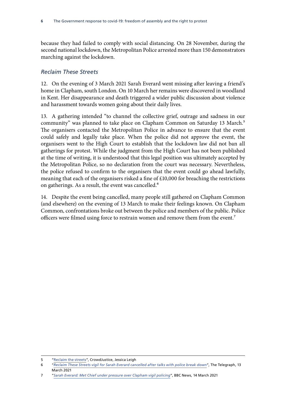<span id="page-7-0"></span>because they had failed to comply with social distancing. On 28 November, during the second national lockdown, the Metropolitan Police arrested more than 150 demonstrators marching against the lockdown.

### *Reclaim These Streets*

12. On the evening of 3 March 2021 Sarah Everard went missing after leaving a friend's home in Clapham, south London. On 10 March her remains were discovered in woodland in Kent. Her disappearance and death triggered a wider public discussion about violence and harassment towards women going about their daily lives.

13. A gathering intended "to channel the collective grief, outrage and sadness in our community" was planned to take place on Clapham Common on Saturday 13 March.<sup>5</sup> The organisers contacted the Metropolitan Police in advance to ensure that the event could safely and legally take place. When the police did not approve the event, the organisers went to the High Court to establish that the lockdown law did not ban all gatherings for protest. While the judgment from the High Court has not been published at the time of writing, it is understood that this legal position was ultimately accepted by the Metropolitan Police, so no declaration from the court was necessary. Nevertheless, the police refused to confirm to the organisers that the event could go ahead lawfully, meaning that each of the organisers risked a fine of £10,000 for breaching the restrictions on gatherings. As a result, the event was cancelled.<sup>6</sup>

14. Despite the event being cancelled, many people still gathered on Clapham Common (and elsewhere) on the evening of 13 March to make their feelings known. On Clapham Common, confrontations broke out between the police and members of the public. Police officers were filmed using force to restrain women and remove them from the event.7

<sup>5</sup> "[Reclaim the streets](https://www.crowdjustice.com/case/reclaimthesestreets/)", CrowdJustice, Jessica Leigh

<sup>6</sup> "*[Reclaim These Streets vigil for Sarah Everard cancelled after talks with police break down](https://www.telegraph.co.uk/news/2021/03/13/campaigners-go-ahead-vigil-despite-court-refusing-back-legal/)*", The Telegraph, 13 March 2021

<sup>7</sup> "*[Sarah Everard: Met Chief under pressure over Clapham vigil policing](https://www.bbc.co.uk/news/uk-56389824)*", BBC News, 14 March 2021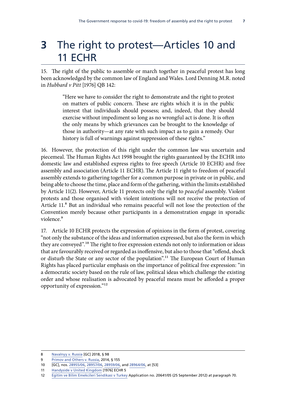## <span id="page-8-0"></span>**3** The right to protest—Articles 10 and 11 ECHR

15. The right of the public to assemble or march together in peaceful protest has long been acknowledged by the common law of England and Wales. Lord Denning M.R. noted in *Hubbard v Pitt* [1976] QB 142:

> "Here we have to consider the right to demonstrate and the right to protest on matters of public concern. These are rights which it is in the public interest that individuals should possess; and, indeed, that they should exercise without impediment so long as no wrongful act is done. It is often the only means by which grievances can be brought to the knowledge of those in authority—at any rate with such impact as to gain a remedy. Our history is full of warnings against suppression of these rights."

16. However, the protection of this right under the common law was uncertain and piecemeal. The Human Rights Act 1998 brought the rights guaranteed by the ECHR into domestic law and established express rights to free speech (Article 10 ECHR) and free assembly and association (Article 11 ECHR).The Article 11 right to freedom of peaceful assembly extends to gathering together for a common purpose in private or in public, and being able to choose the time, place and form of the gathering, within the limits established by Article 11(2). However, Article 11 protects only the right to *peaceful* assembly. Violent protests and those organised with violent intentions will not receive the protection of Article 11.<sup>8</sup> But an individual who remains peaceful will not lose the protection of the Convention merely because other participants in a demonstration engage in sporadic violence.<sup>9</sup>

17. Article 10 ECHR protects the expression of opinions in the form of protest, covering "not only the substance of the ideas and information expressed, but also the form in which they are conveyed".10 The right to free expression extends not only to information or ideas that are favourably received or regarded as inoffensive, but also to those that "offend, shock or disturb the State or any sector of the population".<sup>11</sup> The European Court of Human Rights has placed particular emphasis on the importance of political free expression: "in a democratic society based on the rule of law, political ideas which challenge the existing order and whose realisation is advocated by peaceful means must be afforded a proper opportunity of expression."12

<sup>8</sup> [Navalnyy v. Russia](http://hudoc.echr.coe.int/eng?i=001-187605) [GC] 2018, § 98

<sup>9</sup> [Primov and Others v. Russia](https://hudoc.echr.coe.int/eng#{%22sort%22:[%22EMPTY%22],%22itemid%22:[%22001-144673%22]}), 2014, § 155

<sup>10</sup> [GC], nos. [28955/06,](https://hudoc.echr.coe.int/eng#{%22sort%22:[%22EMPTY%22],%22appno%22:[%2228955/06%22]}) [28957/06](https://hudoc.echr.coe.int/eng#{%22sort%22:[%22EMPTY%22],%22appno%22:[%2228957/06%22]}), [28959/06,](https://hudoc.echr.coe.int/eng#{%22sort%22:[%22EMPTY%22],%22appno%22:[%2228959/06%22]}) and [28964/06,](https://hudoc.echr.coe.int/eng#{%22sort%22:[%22EMPTY%22],%22appno%22:[%2228964/06%22]}) at [53]

<sup>11</sup> [Handyside v United Kingdom](https://hudoc.echr.coe.int/eng#{%22sort%22:[%22EMPTY%22],%22itemid%22:[%22001-57499%22]}) [1976] ECHR 5

<sup>12</sup> [Egitim ve Bilim Emekcileri Sendikasi v Turkey](https://hudoc.echr.coe.int/eng#{%22sort%22:[%22EMPTY%22],%22itemid%22:[%22001-113410%22]}) Application no. 20641/05 (25 September 2012) at paragraph 70.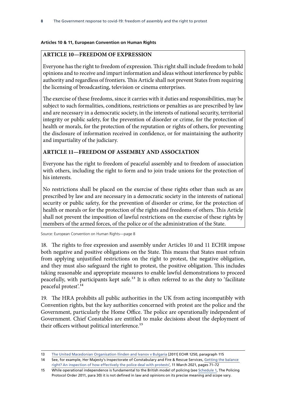#### **Articles 10 & 11, European Convention on Human Rights**

#### **ARTICLE 10—FREEDOM OF EXPRESSION**

Everyone has the right to freedom of expression. This right shall include freedom to hold opinions and to receive and impart information and ideas without interference by public authority and regardless of frontiers. This Article shall not prevent States from requiring the licensing of broadcasting, television or cinema enterprises.

The exercise of these freedoms, since it carries with it duties and responsibilities, may be subject to such formalities, conditions, restrictions or penalties as are prescribed by law and are necessary in a democratic society, in the interests of national security, territorial integrity or public safety, for the prevention of disorder or crime, for the protection of health or morals, for the protection of the reputation or rights of others, for preventing the disclosure of information received in confidence, or for maintaining the authority and impartiality of the judiciary.

#### **ARTICLE 11—FREEDOM OF ASSEMBLY AND ASSOCIATION**

Everyone has the right to freedom of peaceful assembly and to freedom of association with others, including the right to form and to join trade unions for the protection of his interests.

No restrictions shall be placed on the exercise of these rights other than such as are prescribed by law and are necessary in a democratic society in the interests of national security or public safety, for the prevention of disorder or crime, for the protection of health or morals or for the protection of the rights and freedoms of others. This Article shall not prevent the imposition of lawful restrictions on the exercise of these rights by members of the armed forces, of the police or of the administration of the State.

Source: European Convention on Human Rights—page 8

18. The rights to free expression and assembly under Articles 10 and 11 ECHR impose both negative and positive obligations on the State. This means that States must refrain from applying unjustified restrictions on the right to protest, the negative obligation, and they must also safeguard the right to protest, the positive obligation. This includes taking reasonable and appropriate measures to enable lawful demonstrations to proceed peacefully, with participants kept safe.<sup>13</sup> It is often referred to as the duty to 'facilitate peaceful protest'.14

19. The HRA prohibits all public authorities in the UK from acting incompatibly with Convention rights, but the key authorities concerned with protest are the police and the Government, particularly the Home Office. The police are operationally independent of Government. Chief Constables are entitled to make decisions about the deployment of their officers without political interference.<sup>15</sup>

<sup>13</sup> [The United Macedonian Organisation Ilinden and Ivanov v Bulgaria](https://www.google.com/url?sa=t&rct=j&q=&esrc=s&source=web&cd=&ved=2ahUKEwigxLTo57TvAhV7TxUIHYO5C08QFjABegQIAhAD&url=http%3A%2F%2Fhudoc.echr.coe.int%2Fapp%2Fconversion%2Fpdf%2F%3Flibrary%3DECHR%26id%3D001-71297%26filename%3D001-71297.pdf%26TID%3Dgqbzawlzyu&usg=AOvVaw3i3_d101jXqycqq_8BSpZ9) [2011] ECHR 1250, paragraph 115

<sup>14</sup> See, for example, Her Majesty's Inspectorate of Constabulary and Fire & Rescue Services, [Getting the balance](https://www.justiceinspectorates.gov.uk/hmicfrs/wp-content/uploads/getting-the-balance-right-an-inspection-of-how-effectively-the-police-deal-with-protests.pdf)  [right? An inspection of how effectively the police deal with protests](https://www.justiceinspectorates.gov.uk/hmicfrs/wp-content/uploads/getting-the-balance-right-an-inspection-of-how-effectively-the-police-deal-with-protests.pdf)', 11 March 2021, pages 71–72

<sup>15</sup> While operational independence is fundamental to the British model of policing (see [Schedule 1](https://www.legislation.gov.uk/uksi/2011/2744/made), The Policing Protocol Order 2011, para 30) it is not defined in law and opinions on its precise meaning and scope vary.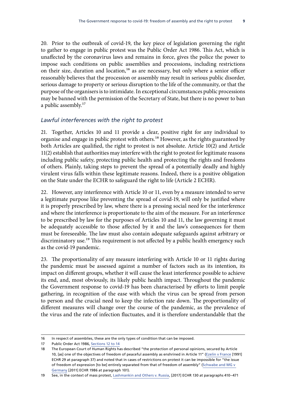<span id="page-10-0"></span>20. Prior to the outbreak of covid-19, the key piece of legislation governing the right to gather to engage in public protest was the Public Order Act 1986. This Act, which is unaffected by the coronavirus laws and remains in force, gives the police the power to impose such conditions on public assemblies and processions, including restrictions on their size, duration and location,<sup>16</sup> as are necessary, but only where a senior officer reasonably believes that the procession or assembly may result in serious public disorder, serious damage to property or serious disruption to the life of the community, or that the purpose of the organisers is to intimidate. In exceptional circumstances public processions may be banned with the permission of the Secretary of State, but there is no power to ban a public assembly.<sup>17</sup>

### *Lawful interferences with the right to protest*

21. Together, Articles 10 and 11 provide a clear, positive right for any individual to organise and engage in public protest with others.<sup>18</sup> However, as the rights guaranteed by both Articles are qualified, the right to protest is not absolute. Article 10(2) and Article 11(2) establish that authorities may interfere with the right to protest for legitimate reasons including public safety, protecting public health and protecting the rights and freedoms of others. Plainly, taking steps to prevent the spread of a potentially deadly and highly virulent virus falls within these legitimate reasons. Indeed, there is a positive obligation on the State under the ECHR to safeguard the right to life (Article 2 ECHR).

22. However, any interference with Article 10 or 11, even by a measure intended to serve a legitimate purpose like preventing the spread of covid-19, will only be justified where it is properly prescribed by law, where there is a pressing social need for the interference and where the interference is proportionate to the aim of the measure. For an interference to be prescribed by law for the purposes of Articles 10 and 11, the law governing it must be adequately accessible to those affected by it and the law's consequences for them must be foreseeable. The law must also contain adequate safeguards against arbitrary or discriminatory use.<sup>19</sup> This requirement is not affected by a public health emergency such as the covid-19 pandemic.

23. The proportionality of any measure interfering with Article 10 or 11 rights during the pandemic must be assessed against a number of factors such as its intention, its impact on different groups, whether it will cause the least interference possible to achieve its end, and, most obviously, its likely public health impact. Throughout the pandemic the Government response to covid-19 has been characterised by efforts to limit people gathering, in recognition of the ease with which the virus can be spread from person to person and the crucial need to keep the infection rate down. The proportionality of different measures will change over the course of the pandemic, as the prevalence of the virus and the rate of infection fluctuates, and it is therefore understandable that the

<sup>16</sup> In respect of assemblies, these are the only types of condition that can be imposed.

<sup>17</sup> Public Order Act 1986, [Sections 12 to 14](https://www.legislation.gov.uk/ukpga/1986/64/contents)

<sup>18</sup> The European Court of Human Rights has described "the protection of personal opinions, secured by Article 10, [as] one of the objectives of freedom of peaceful assembly as enshrined in Article 11" ([Ezelin v France](http://hudoc.echr.coe.int/eng?i=001-57675) [1991] ECHR 29 at paragraph 37) and noted that in cases of restrictions on protest it can be impossible for "the issue of freedom of expression [to be] entirely separated from that of freedom of assembly" [\(Schwabe and MG v](http://hudoc.echr.coe.int/eng?i=001-107703)  [Germany](http://hudoc.echr.coe.int/eng?i=001-107703) [2011] ECHR 1986 at paragraph 101).

<sup>19</sup> See, in the context of mass protest, [Lashmankin and Others v. Russia,](https://hudoc.echr.coe.int/eng#{%22fulltext%22:[%22lashmankin%22],%22sort%22:[%22EMPTY%22],%22documentcollectionid2%22:[%22GRANDCHAMBER%22,%22CHAMBER%22],%22itemid%22:[%22001-170857%22]}) [2017] ECHR 130 at paragraphs 410–471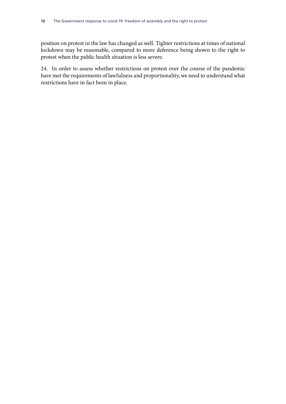position on protest in the law has changed as well. Tighter restrictions at times of national lockdown may be reasonable, compared to more deference being shown to the right to protest when the public health situation is less severe.

24. In order to assess whether restrictions on protest over the course of the pandemic have met the requirements of lawfulness and proportionality, we need to understand what restrictions have in fact been in place.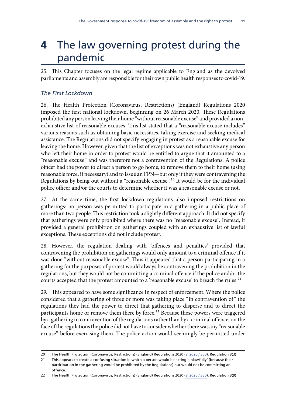## <span id="page-12-0"></span>**4** The law governing protest during the pandemic

25. This Chapter focuses on the legal regime applicable to England as the devolved parliaments and assembly are responsible for their own public health responses to covid-19.

### *The First Lockdown*

26. The Health Protection (Coronavirus, Restrictions) (England) Regulations 2020 imposed the first national lockdown, beginning on 26 March 2020. These Regulations prohibited any person leaving their home "without reasonable excuse" and provided a nonexhaustive list of reasonable excuses. This list stated that a "reasonable excuse includes" various reasons such as obtaining basic necessities, taking exercise and seeking medical assistance. The Regulations did not specify engaging in protest as a reasonable excuse for leaving the home. However, given that the list of exceptions was not exhaustive any person who left their home in order to protest would be entitled to argue that it amounted to a "reasonable excuse" and was therefore not a contravention of the Regulations. A police officer had the power to direct a person to go home, to remove them to their home (using reasonable force, if necessary) and to issue an FPN—but only if they were contravening the Regulations by being out without a "reasonable excuse".<sup>20</sup> It would be for the individual police officer and/or the courts to determine whether it was a reasonable excuse or not.

27. At the same time, the first lockdown regulations also imposed restrictions on gatherings: no person was permitted to participate in a gathering in a public place of more than two people. This restriction took a slightly different approach. It did not specify that gatherings were only prohibited where there was no "reasonable excuse". Instead, it provided a general prohibition on gatherings coupled with an exhaustive list of lawful exceptions. These exceptions did not include protest.

28. However, the regulation dealing with 'offences and penalties' provided that contravening the prohibition on gatherings would only amount to a criminal offence if it was done "without reasonable excuse". Thus it appeared that a person participating in a gathering for the purposes of protest would always be contravening the prohibition in the regulations, but they would not be committing a criminal offence if the police and/or the courts accepted that the protest amounted to a 'reasonable excuse' to breach the rules.<sup>21</sup>

29. This appeared to have some significance in respect of enforcement. Where the police considered that a gathering of three or more was taking place "in contravention of" the regulations they had the power to direct that gathering to disperse and to direct the participants home or remove them there by force.<sup>22</sup> Because these powers were triggered by a gathering in contravention of the regulations rather than by a criminal offence, on the face of the regulations the police did not have to consider whether there was any "reasonable excuse" before exercising them. The police action would seemingly be permitted under

<sup>20</sup> The Health Protection (Coronavirus, Restrictions) (England) Regulations 2020 [\(SI 2020 / 350](https://www.legislation.gov.uk/uksi/2020/350/regulation/8/made)), Regulation 8(3)

<sup>21</sup> This appears to create a confusing situation in which a person would be acting 'unlawfully' (because their participation in the gathering would be prohibited by the Regulations) but would not be committing an offence.

<sup>22</sup> The Health Protection (Coronavirus, Restrictions) (England) Regulations 2020 [\(SI 2020 / 350](https://www.legislation.gov.uk/uksi/2020/350/regulation/8/made)), Regulation 8(9)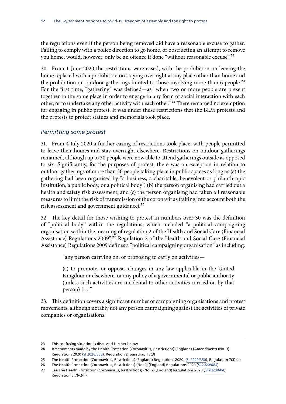<span id="page-13-0"></span>the regulations even if the person being removed did have a reasonable excuse to gather. Failing to comply with a police direction to go home, or obstructing an attempt to remove you home, would, however, only be an offence if done "without reasonable excuse".<sup>23</sup>

30. From 1 June 2020 the restrictions were eased, with the prohibition on leaving the home replaced with a prohibition on staying overnight at any place other than home and the prohibition on outdoor gatherings limited to those involving more than 6 people.<sup>24</sup> For the first time, "gathering" was defined—as "when two or more people are present together in the same place in order to engage in any form of social interaction with each other, or to undertake any other activity with each other."25 There remained no exemption for engaging in public protest. It was under these restrictions that the BLM protests and the protests to protect statues and memorials took place.

### *Permitting some protest*

31. From 4 July 2020 a further easing of restrictions took place, with people permitted to leave their homes and stay overnight elsewhere. Restrictions on outdoor gatherings remained, although up to 30 people were now able to attend gatherings outside as opposed to six. Significantly, for the purposes of protest, there was an exception in relation to outdoor gatherings of more than 30 people taking place in public spaces as long as (a) the gathering had been organised by "a business, a charitable, benevolent or philanthropic institution, a public body, or a political body"; (b) the person organising had carried out a health and safety risk assessment; and (c) the person organising had taken all reasonable measures to limit the risk of transmission of the coronavirus (taking into account both the risk assessment and government guidance).26

32. The key detail for those wishing to protest in numbers over 30 was the definition of "political body" within the regulations, which included "a political campaigning organisation within the meaning of regulation 2 of the Health and Social Care (Financial Assistance) Regulations 2009".27 Regulation 2 of the Health and Social Care (Financial Assistance) Regulations 2009 defines a "political campaigning organisation" as including:

"any person carrying on, or proposing to carry on activities—

(a) to promote, or oppose, changes in any law applicable in the United Kingdom or elsewhere, or any policy of a governmental or public authority (unless such activities are incidental to other activities carried on by that person) […]"

33. This definition covers a significant number of campaigning organisations and protest movements, although notably not any person campaigning against the activities of private companies or organisations.

<sup>23</sup> This confusing situation is discussed further below

<sup>24</sup> Amendments made by the Health Protection (Coronavirus, Restrictions) (England) (Amendment) (No. 3) Regulations 2020 ([SI 2020/558\)](https://www.legislation.gov.uk/uksi/2020/558/regulation/2/made), Regulation 2, paragraph 7(3)

<sup>25</sup> The Health Protection (Coronavirus, Restrictions) (England) Regulations 2020, ([SI 2020/350\)](https://www.legislation.gov.uk/uksi/2020/350/regulation/7/made), Regulation 7(3) (a)

<sup>26</sup> The Health Protection (Coronavirus, Restrictions) (No. 2) (England) Regulations 2020 ([SI 2020/684\)](https://www.legislation.gov.uk/uksi/2020/684/contents/made)

<sup>27</sup> See The Health Protection (Coronavirus, Restrictions) (No. 2) (England) Regulations 2020 ([SI 2020/684](https://www.legislation.gov.uk/uksi/2020/684/contents/made)), Regulation 5(7)(c)(ii)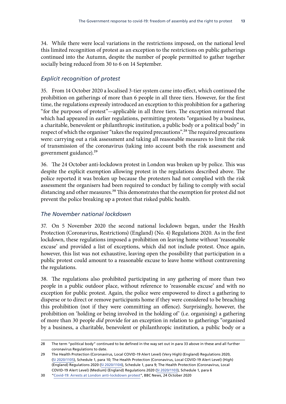<span id="page-14-0"></span>34. While there were local variations in the restrictions imposed, on the national level this limited recognition of protest as an exception to the restrictions on public gatherings continued into the Autumn, despite the number of people permitted to gather together socially being reduced from 30 to 6 on 14 September.

### *Explicit recognition of protest*

35. From 14 October 2020 a localised 3-tier system came into effect, which continued the prohibition on gatherings of more than 6 people in all three tiers. However, for the first time, the regulations expressly introduced an exception to this prohibition for a gathering "for the purposes of protest"—applicable in all three tiers. The exception mirrored that which had appeared in earlier regulations, permitting protests "organised by a business, a charitable, benevolent or philanthropic institution, a public body or a political body" in respect of which the organiser "takes the required precautions".28 The required precautions were: carrying out a risk assessment and taking all reasonable measures to limit the risk of transmission of the coronavirus (taking into account both the risk assessment and government guidance).<sup>29</sup>

36. The 24 October anti-lockdown protest in London was broken up by police. This was despite the explicit exemption allowing protest in the regulations described above. The police reported it was broken up because the protesters had not complied with the risk assessment the organisers had been required to conduct by failing to comply with social distancing and other measures.<sup>30</sup> This demonstrates that the exemption for protest did not prevent the police breaking up a protest that risked public health.

### *The November national lockdown*

37. On 5 November 2020 the second national lockdown began, under the Health Protection (Coronavirus, Restrictions) (England) (No. 4) Regulations 2020. As in the first lockdown, these regulations imposed a prohibition on leaving home without 'reasonable excuse' and provided a list of exceptions, which did not include protest. Once again, however, this list was not exhaustive, leaving open the possibility that participation in a public protest could amount to a reasonable excuse to leave home without contravening the regulations.

38. The regulations also prohibited participating in any gathering of more than two people in a public outdoor place, without reference to 'reasonable excuse' and with no exception for public protest. Again, the police were empowered to direct a gathering to disperse or to direct or remove participants home if they were considered to be breaching this prohibition (not if they were committing an offence). Surprisingly, however, the prohibition on 'holding or being involved in the holding of' (i.e. organising) a gathering of more than 30 people *did* provide for an exception in relation to gatherings "organised by a business, a charitable, benevolent or philanthropic institution, a public body or a

<sup>28</sup> The term "political body" continued to be defined in the way set out in para 33 above in these and all further coronavirus Regulations to date.

<sup>29</sup> The Health Protection (Coronavirus, Local COVID-19 Alert Level) (Very High) (England) Regulations 2020, [\(SI 2020/1105\)](https://www.legislation.gov.uk/uksi/2020/1105/contents/made), Schedule 1, para 10; The Health Protection (Coronavirus, Local COVID-19 Alert Level) (High) (England) Regulations 2020 [\(SI 2020/1104\)](https://www.legislation.gov.uk/uksi/2020/1104/contents/made), Schedule 1, para 9; The Health Protection (Coronavirus, Local COVID-19 Alert Level) (Medium) (England) Regulations 2020 [\(SI 2020/1103\)](https://www.legislation.gov.uk/uksi/2020/1103/contents/made), Schedule 1, para 6

<sup>30</sup> "[Covid-19: Arrests at London anti-lockdown protest](https://www.bbc.co.uk/news/uk-england-london-54678374)", BBC News, 24 October 2020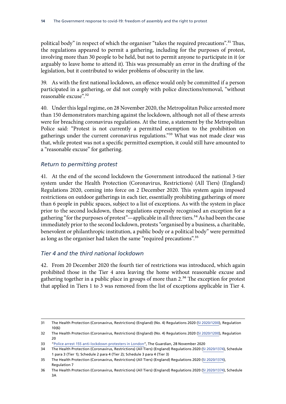<span id="page-15-0"></span>political body" in respect of which the organiser "takes the required precautions".<sup>31</sup> Thus, the regulations appeared to permit a gathering, including for the purposes of protest, involving more than 30 people to be held, but not to permit anyone to participate in it (or arguably to leave home to attend it). This was presumably an error in the drafting of the legislation, but it contributed to wider problems of obscurity in the law.

39. As with the first national lockdown, an offence would only be committed if a person participated in a gathering, or did not comply with police directions/removal, "without reasonable excuse".32

40. Under this legal regime, on 28 November 2020, the Metropolitan Police arrested more than 150 demonstrators marching against the lockdown, although not all of these arrests were for breaching coronavirus regulations. At the time, a statement by the Metropolitan Police said: "Protest is not currently a permitted exemption to the prohibition on gatherings under the current coronavirus regulations."33 What was not made clear was that, while protest was not a specific permitted exemption, it could still have amounted to a "reasonable excuse" for gathering.

### *Return to permitting protest*

41. At the end of the second lockdown the Government introduced the national 3-tier system under the Health Protection (Coronavirus, Restrictions) (All Tiers) (England) Regulations 2020, coming into force on 2 December 2020. This system again imposed restrictions on outdoor gatherings in each tier, essentially prohibiting gatherings of more than 6 people in public spaces, subject to a list of exceptions. As with the system in place prior to the second lockdown, these regulations expressly recognised an exception for a gathering "for the purposes of protest"—applicable in all three tiers.<sup>34</sup> As had been the case immediately prior to the second lockdown, protests "organised by a business, a charitable, benevolent or philanthropic institution, a public body or a political body" were permitted as long as the organiser had taken the same "required precautions".35

### *Tier 4 and the third national lockdown*

42. From 20 December 2020 the fourth tier of restrictions was introduced, which again prohibited those in the Tier 4 area leaving the home without reasonable excuse and gathering together in a public place in groups of more than 2.<sup>36</sup> The exception for protest that applied in Tiers 1 to 3 was removed from the list of exceptions applicable in Tier 4.

<sup>31</sup> The Health Protection (Coronavirus, Restrictions) (England) (No. 4) Regulations 2020 [\(SI 2020/1200](https://www.legislation.gov.uk/uksi/2020/1200/contents/made)), Regulation 10(6)

<sup>32</sup> The Health Protection (Coronavirus, Restrictions) (England) (No. 4) Regulations 2020 [\(SI 2020/1200](https://www.legislation.gov.uk/uksi/2020/1200/contents/made)), Regulation 20

<sup>33</sup> "[Police arrest 155 anti-lockdown protesters in London](https://www.theguardian.com/world/2020/nov/28/met-police-anti-lockdown-protest-london)", The Guardian, 28 November 2020

<sup>34</sup> The Health Protection (Coronavirus, Restrictions) (All Tiers) (England) Regulations 2020 [\(SI 2020/1374\)](https://www.legislation.gov.uk/uksi/2020/1374/contents), Schedule 1 para 3 (Tier 1); Schedule 2 para 4 (Tier 2); Schedule 3 para 4 (Tier 3)

<sup>35</sup> The Health Protection (Coronavirus, Restrictions) (All Tiers) (England) Regulations 2020 [\(SI 2020/1374\)](https://www.legislation.gov.uk/uksi/2020/1374/contents), Regulation 7

<sup>36</sup> The Health Protection (Coronavirus, Restrictions) (All Tiers) (England) Regulations 2020 [\(SI 2020/1374\)](https://www.legislation.gov.uk/uksi/2020/1374/contents), Schedule 3A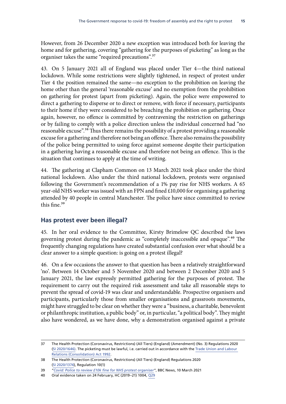<span id="page-16-0"></span>However, from 26 December 2020 a new exception was introduced both for leaving the home and for gathering, covering "gathering for the purposes of picketing" as long as the organiser takes the same "required precautions".37

43. On 5 January 2021 all of England was placed under Tier 4—the third national lockdown. While some restrictions were slightly tightened, in respect of protest under Tier 4 the position remained the same—no exception to the prohibition on leaving the home other than the general 'reasonable excuse' and no exemption from the prohibition on gathering for protest (apart from picketing). Again, the police were empowered to direct a gathering to disperse or to direct or remove, with force if necessary, participants to their home if they were considered to be breaching the prohibition on gathering. Once again, however, no offence is committed by contravening the restriction on gatherings or by failing to comply with a police direction unless the individual concerned had "no reasonable excuse".38 Thus there remains the possibility of a protest providing a reasonable excuse for a gathering and therefore not being an offence. There also remains the possibility of the police being permitted to using force against someone despite their participation in a gathering having a reasonable excuse and therefore not being an offence. This is the situation that continues to apply at the time of writing.

44. The gathering at Clapham Common on 13 March 2021 took place under the third national lockdown. Also under the third national lockdown, protests were organised following the Government's recommendation of a 1% pay rise for NHS workers. A 65 year-old NHS worker was issued with an FPN and fined £10,000 for organising a gathering attended by 40 people in central Manchester. The police have since committed to review this fine<sup>39</sup>

### **Has protest ever been illegal?**

45. In her oral evidence to the Committee, Kirsty Brimelow QC described the laws governing protest during the pandemic as "completely inaccessible and opaque".<sup>40</sup> The frequently changing regulations have created substantial confusion over what should be a clear answer to a simple question: is going on a protest illegal?

46. On a few occasions the answer to that question has been a relatively straightforward 'no'. Between 14 October and 5 November 2020 and between 2 December 2020 and 5 January 2021, the law expressly permitted gathering for the purposes of protest. The requirement to carry out the required risk assessment and take all reasonable steps to prevent the spread of covid-19 was clear and understandable. Prospective organisers and participants, particularly those from smaller organisations and grassroots movements, might have struggled to be clear on whether they were a "business, a charitable, benevolent or philanthropic institution, a public body" or, in particular, "a political body". They might also have wondered, as we have done, why a demonstration organised against a private

<sup>37</sup> The Health Protection (Coronavirus, Restrictions) (All Tiers) (England) (Amendment) (No. 3) Regulations 2020 [\(SI 2020/1646\)](https://www.legislation.gov.uk/uksi/2020/1646/made). The picketing must be lawful, i.e. carried out in accordance with the [Trade Union and Labour](https://www.legislation.gov.uk/ukpga/1992/52/contents)  [Relations \(Consolidation\) Act 1992](https://www.legislation.gov.uk/ukpga/1992/52/contents).

<sup>38</sup> The Health Protection (Coronavirus, Restrictions) (All Tiers) (England) Regulations 2020 [\(SI 2020/1374\)](https://www.legislation.gov.uk/uksi/2020/1374/contents), Regulation 10(1)

<sup>39</sup> "*[Covid: Police to review £10k fine for NHS protest organiser](https://www.bbc.co.uk/news/uk-england-manchester-56351093)*", BBC News, 10 March 2021

<sup>40</sup> Oral evidence taken on 24 February, HC (2019–21) 1004, [Q29](https://committees.parliament.uk/oralevidence/1757/pdf/)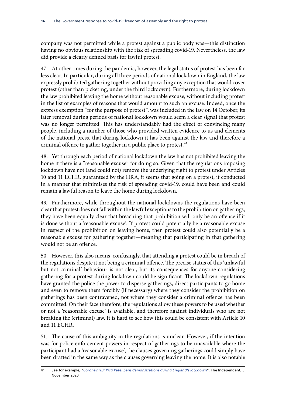company was not permitted while a protest against a public body was—this distinction having no obvious relationship with the risk of spreading covid-19. Nevertheless, the law did provide a clearly defined basis for lawful protest.

47. At other times during the pandemic, however, the legal status of protest has been far less clear. In particular, during all three periods of national lockdown in England, the law expressly prohibited gathering together without providing any exception that would cover protest (other than picketing, under the third lockdown). Furthermore, during lockdown the law prohibited leaving the home without reasonable excuse, without including protest in the list of examples of reasons that would amount to such an excuse. Indeed, once the express exemption "for the purpose of protest", was included in the law on 14 October, its later removal during periods of national lockdown would seem a clear signal that protest was no longer permitted. This has understandably had the effect of convincing many people, including a number of those who provided written evidence to us and elements of the national press, that during lockdown it has been against the law and therefore a criminal offence to gather together in a public place to protest. $41$ 

48. Yet through each period of national lockdown the law has not prohibited leaving the home if there is a "reasonable excuse" for doing so. Given that the regulations imposing lockdown have not (and could not) remove the underlying right to protest under Articles 10 and 11 ECHR, guaranteed by the HRA, it seems that going on a protest, if conducted in a manner that minimises the risk of spreading covid-19, could have been and could remain a lawful reason to leave the home during lockdown.

49. Furthermore, while throughout the national lockdowns the regulations have been clear that protest does not fall within the lawful exceptions to the prohibition on gatherings, they have been equally clear that breaching that prohibition will only be an offence if it is done without a 'reasonable excuse'. If protest could potentially be a reasonable excuse in respect of the prohibition on leaving home, then protest could also potentially be a reasonable excuse for gathering together—meaning that participating in that gathering would not be an offence.

50. However, this also means, confusingly, that attending a protest could be in breach of the regulations despite it not being a criminal offence. The precise status of this 'unlawful but not criminal' behaviour is not clear, but its consequences for anyone considering gathering for a protest during lockdown could be significant. The lockdown regulations have granted the police the power to disperse gatherings, direct participants to go home and even to remove them forcibly (if necessary) where they consider the prohibition on gatherings has been contravened, not where they consider a criminal offence has been committed. On their face therefore, the regulations allow these powers to be used whether or not a 'reasonable excuse' is available, and therefore against individuals who are not breaking the (criminal) law. It is hard to see how this could be consistent with Article 10 and 11 ECHR.

51. The cause of this ambiguity in the regulations is unclear. However, if the intention was for police enforcement powers in respect of gatherings to be unavailable where the participant had a 'reasonable excuse', the clauses governing gatherings could simply have been drafted in the same way as the clauses governing leaving the home. It is also notable

<sup>41</sup> See for example, "*[Coronavirus: Priti Patel bans demonstrations during England's lockdown](https://www.independent.co.uk/news/uk/politics/priti-patel-protests-england-lockdown-home-office-demonstrations-b1556584.html)*", The Independent, 3 November 2020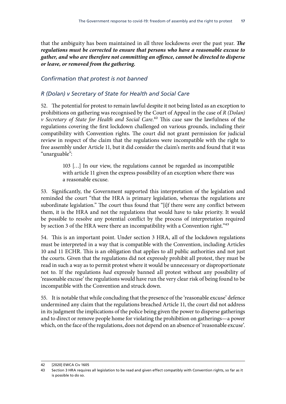<span id="page-18-0"></span>that the ambiguity has been maintained in all three lockdowns over the past year. *The regulations must be corrected to ensure that persons who have a reasonable excuse to gather, and who are therefore not committing an offence, cannot be directed to disperse or leave, or removed from the gathering***.**

### *Confirmation that protest is not banned*

### *R (Dolan) v Secretary of State for Health and Social Care*

52. The potential for protest to remain lawful despite it not being listed as an exception to prohibitions on gathering was recognised by the Court of Appeal in the case of *R (Dolan) v Secretary of State for Health and Social Care*.42 This case saw the lawfulness of the regulations covering the first lockdown challenged on various grounds, including their compatibility with Convention rights. The court did not grant permission for judicial review in respect of the claim that the regulations were incompatible with the right to free assembly under Article 11, but it did consider the claim's merits and found that it was "unarguable":

> 103 […] In our view, the regulations cannot be regarded as incompatible with article 11 given the express possibility of an exception where there was a reasonable excuse.

53. Significantly, the Government supported this interpretation of the legislation and reminded the court "that the HRA is primary legislation, whereas the regulations are subordinate legislation." The court thus found that "[i]f there were any conflict between them, it is the HRA and not the regulations that would have to take priority. It would be possible to resolve any potential conflict by the process of interpretation required by section 3 of the HRA were there an incompatibility with a Convention right."<sup>43</sup>

54. This is an important point. Under section 3 HRA, all of the lockdown regulations must be interpreted in a way that is compatible with the Convention, including Articles 10 and 11 ECHR. This is an obligation that applies to all public authorities and not just the courts. Given that the regulations did not expressly prohibit all protest, they must be read in such a way as to permit protest where it would be unnecessary or disproportionate not to. If the regulations *had* expressly banned all protest without any possibility of 'reasonable excuse' the regulations would have run the very clear risk of being found to be incompatible with the Convention and struck down.

55. It is notable that while concluding that the presence of the 'reasonable excuse' defence undermined any claim that the regulations breached Article 11, the court did not address in its judgment the implications of the police being given the power to disperse gatherings and to direct or remove people home for violating the prohibition on gatherings—a power which, on the face of the regulations, does not depend on an absence of 'reasonable excuse'.

<sup>42</sup> [2020] EWCA Civ 1605

<sup>43</sup> Section 3 HRA requires all legislation to be read and given effect compatibly with Convention rights, so far as it is possible to do so.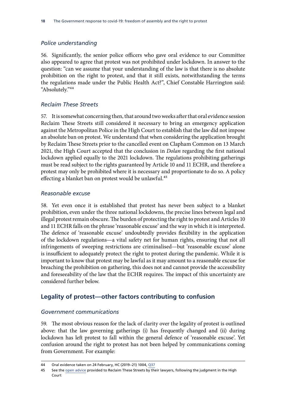### <span id="page-19-0"></span>*Police understanding*

56. Significantly, the senior police officers who gave oral evidence to our Committee also appeared to agree that protest was not prohibited under lockdown. In answer to the question: "can we assume that your understanding of the law is that there is no absolute prohibition on the right to protest, and that it still exists, notwithstanding the terms the regulations made under the Public Health Act?", Chief Constable Harrington said: "Absolutely."44

### *Reclaim These Streets*

57. It is somewhat concerning then, that around two weeks after that oral evidence session Reclaim These Streets still considered it necessary to bring an emergency application against the Metropolitan Police in the High Court to establish that the law did not impose an absolute ban on protest. We understand that when considering the application brought by Reclaim These Streets prior to the cancelled event on Clapham Common on 13 March 2021, the High Court accepted that the conclusion in *Dolan* regarding the first national lockdown applied equally to the 2021 lockdown. The regulations prohibiting gatherings must be read subject to the rights guaranteed by Article 10 and 11 ECHR, and therefore a protest may only be prohibited where it is necessary and proportionate to do so. A policy effecting a blanket ban on protest would be unlawful.<sup>45</sup>

### *Reasonable excuse*

58. Yet even once it is established that protest has never been subject to a blanket prohibition, even under the three national lockdowns, the precise lines between legal and illegal protest remain obscure. The burden of protecting the right to protest and Articles 10 and 11 ECHR falls on the phrase 'reasonable excuse' and the way in which it is interpreted. The defence of 'reasonable excuse' undoubtedly provides flexibility in the application of the lockdown regulations—a vital safety net for human rights, ensuring that not all infringements of sweeping restrictions are criminalised—but 'reasonable excuse' alone is insufficient to adequately protect the right to protest during the pandemic. While it is important to know that protest may be lawful as it may amount to a reasonable excuse for breaching the prohibition on gathering, this does not and cannot provide the accessibility and foreseeability of the law that the ECHR requires. The impact of this uncertainty are considered further below.

## **Legality of protest—other factors contributing to confusion**

### *Government communications*

59. The most obvious reason for the lack of clarity over the legality of protest is outlined above: that the law governing gatherings (i) has frequently changed and (ii) during lockdown has left protest to fall within the general defence of 'reasonable excuse'. Yet confusion around the right to protest has not been helped by communications coming from Government. For example:

<sup>44</sup> Oral evidence taken on 24 February, HC (2019–21) 1004, [Q37](https://committees.parliament.uk/oralevidence/1757/pdf/)

<sup>45</sup> See the [open advice](https://twitter.com/ReclaimTS/status/1370838667925786626) provided to Reclaim These Streets by their lawyers, following the judgment in the High Court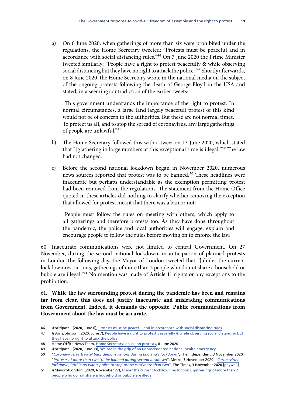a) On 6 June 2020, when gatherings of more than six were prohibited under the regulations, the Home Secretary tweeted: "Protests must be peaceful and in accordance with social distancing rules."46 On 7 June 2020 the Prime Minister tweeted similarly: "People have a right to protest peacefully & while observing social distancing but they have no right to attack the police."<sup>47</sup> Shortly afterwards, on 8 June 2020, the Home Secretary wrote in the national media on the subject of the ongoing protests following the death of George Floyd in the USA and stated, in a seeming contradiction of the earlier tweets:

"This government understands the importance of the right to protest. In normal circumstances, a large (and largely peaceful) protest of this kind would not be of concern to the authorities. But these are not normal times. To protect us all, and to stop the spread of coronavirus, any large gatherings of people are unlawful."48

- b) The Home Secretary followed this with a tweet on 13 June 2020, which stated that "[g]athering in large numbers at this exceptional time is illegal."49 The law had not changed.
- c) Before the second national lockdown began in November 2020, numerous news sources reported that protest was to be banned.<sup>50</sup> These headlines were inaccurate but perhaps understandable as the exemption permitting protest had been removed from the regulations. The statement from the Home Office quoted in these articles did nothing to clarify whether removing the exception that allowed for protest meant that there was a ban or not:

"People must follow the rules on meeting with others, which apply to all gatherings and therefore protests too. As they have done throughout the pandemic, the police and local authorities will engage, explain and encourage people to follow the rules before moving on to enforce the law."

60. Inaccurate communications were not limited to central Government. On 27 November, during the second national lockdown, in anticipation of planned protests in London the following day, the Mayor of London tweeted that "[u]nder the current lockdown restrictions, gatherings of more than 2 people who do not share a household or bubble are illegal."51 No mention was made of Article 11 rights or any exceptions to the prohibition.

61. **While the law surrounding protest during the pandemic has been and remains far from clear, this does not justify inaccurate and misleading communications from Government. Indeed, it demands the opposite. Public communications from Government about the law must be accurate.**

<sup>46</sup> @pritipatel, (2020, June 6), [Protests must be peaceful and in accordance with social distancing rules](https://twitter.com/pritipatel/status/1269346532853264390)

<sup>47 @</sup>BorisJohnson, (2020, June 7), People have a right to protest peacefully & while observing social distancing but [they have no right to attack the police](https://twitter.com/BorisJohnson/status/1269724206440370178)

<sup>48</sup> Home Office News Team, [Home Secretary: op-ed on protests,](https://homeofficemedia.blog.gov.uk/2020/06/08/home-secretary-op-ed-on-protests/) 8 June 2020

<sup>49</sup> **@pritipatel, (2020, June 13),** [We are in the grip of an unprecedented national health emergency](https://twitter.com/pritipatel/status/1271717880078491648)

<sup>50</sup> "*[Coronavirus: Priti Patel bans demonstrations during England's lockdown](https://www.independent.co.uk/news/uk/politics/priti-patel-protests-england-lockdown-home-office-demonstrations-b1556584.html)*", The Independent, 3 November 2020; "*[Protests of more than two 'to be banned during second lockdown](https://metro.co.uk/2020/11/03/protests-of-more-than-two-to-be-banned-during-second-lockdown-13525561/)*", Metro, 3 November 2020; "*[Coronavirus](https://www.thetimes.co.uk/article/coronavirus-lockdown-priti-patel-wants-police-to-stop-protests-of-more-than-two-zdpv3xczx)  [lockdown; Priti Patel wants police to stop protests of more than two](https://www.thetimes.co.uk/article/coronavirus-lockdown-priti-patel-wants-police-to-stop-protests-of-more-than-two-zdpv3xczx)*", The Times, 3 November 2020 [paywall]

<sup>51</sup> @MayorofLondon, (2020, November 27), [Under the current lockdown restrictions, gatherings of more than 2](https://twitter.com/MayorofLondon/status/1332362081652371459?s=20)  [people who do not share a household or bubble are illegal](https://twitter.com/MayorofLondon/status/1332362081652371459?s=20)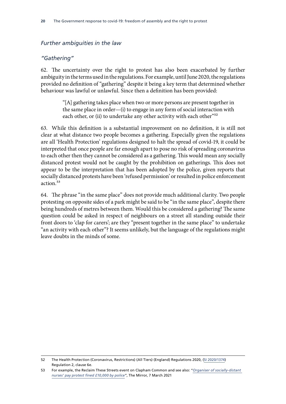### <span id="page-21-0"></span>*Further ambiguities in the law*

#### *"Gathering"*

62. The uncertainty over the right to protest has also been exacerbated by further ambiguity in the terms used in the regulations. For example, until June 2020, the regulations provided no definition of "gathering" despite it being a key term that determined whether behaviour was lawful or unlawful. Since then a definition has been provided:

> "[A] gathering takes place when two or more persons are present together in the same place in order—(i) to engage in any form of social interaction with each other, or (ii) to undertake any other activity with each other"<sup>52</sup>

63. While this definition is a substantial improvement on no definition, it is still not clear at what distance two people becomes a gathering. Especially given the regulations are all 'Health Protection' regulations designed to halt the spread of covid-19, it could be interpreted that once people are far enough apart to pose no risk of spreading coronavirus to each other then they cannot be considered as a gathering. This would mean any socially distanced protest would not be caught by the prohibition on gatherings. This does not appear to be the interpretation that has been adopted by the police, given reports that socially distanced protests have been 'refused permission' or resulted in police enforcement action.<sup>53</sup>

64. The phrase "in the same place" does not provide much additional clarity. Two people protesting on opposite sides of a park might be said to be "in the same place", despite there being hundreds of metres between them. Would this be considered a gathering? The same question could be asked in respect of neighbours on a street all standing outside their front doors to 'clap for carers'; are they "present together in the same place" to undertake "an activity with each other"? It seems unlikely, but the language of the regulations might leave doubts in the minds of some.

<sup>52</sup> The Health Protection (Coronavirus, Restrictions) (All Tiers) (England) Regulations 2020, [\(SI 2020/1374\)](https://www.legislation.gov.uk/uksi/2020/1374/contents) Regulation 2, clause 6e.

<sup>53</sup> For example, the Reclaim These Streets event on Clapham Common and see also: "*[Organiser of socially-distant](https://www.mirror.co.uk/news/uk-news/breaking-organiser-nurses-pay-protest-23623460)  [nurses' pay protest fined £10,000 by police](https://www.mirror.co.uk/news/uk-news/breaking-organiser-nurses-pay-protest-23623460)*", The Mirror, 7 March 2021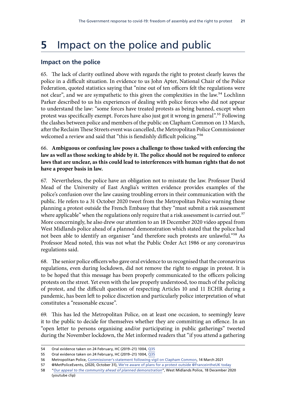## <span id="page-22-0"></span>**5** Impact on the police and public

### **Impact on the police**

65. The lack of clarity outlined above with regards the right to protest clearly leaves the police in a difficult situation. In evidence to us John Apter, National Chair of the Police Federation, quoted statistics saying that "nine out of ten officers felt the regulations were not clear", and we are sympathetic to this given the complexities in the law.<sup>54</sup> Lochlinn Parker described to us his experiences of dealing with police forces who did not appear to understand the law: "some forces have treated protests as being banned, except when protest was specifically exempt. Forces have also just got it wrong in general".<sup>55</sup> Following the clashes between police and members of the public on Clapham Common on 13 March, after the Reclaim These Streets event was cancelled, the Metropolitan Police Commissioner welcomed a review and said that "this is fiendishly difficult policing."<sup>56</sup>

66. **Ambiguous or confusing law poses a challenge to those tasked with enforcing the law as well as those seeking to abide by it. The police should not be required to enforce laws that are unclear, as this could lead to interferences with human rights that do not have a proper basis in law.**

67. Nevertheless, the police have an obligation not to misstate the law. Professor David Mead of the University of East Anglia's written evidence provides examples of the police's confusion over the law causing troubling errors in their communication with the public. He refers to a 31 October 2020 tweet from the Metropolitan Police warning those planning a protest outside the French Embassy that they "must submit a risk assessment where applicable" when the regulations only require that a risk assessment is carried out.<sup>57</sup> More concerningly, he also drew our attention to an 18 December 2020 video appeal from West Midlands police ahead of a planned demonstration which stated that the police had not been able to identify an organiser "and therefore such protests are unlawful."58 As Professor Mead noted, this was not what the Public Order Act 1986 or any coronavirus regulations said.

68. The senior police officers who gave oral evidence to us recognised that the coronavirus regulations, even during lockdown, did not remove the right to engage in protest. It is to be hoped that this message has been properly communicated to the officers policing protests on the street. Yet even with the law properly understood, too much of the policing of protest, and the difficult question of respecting Articles 10 and 11 ECHR during a pandemic, has been left to police discretion and particularly police interpretation of what constitutes a "reasonable excuse".

69. This has led the Metropolitan Police, on at least one occasion, to seemingly leave it to the public to decide for themselves whether they are committing an offence. In an "open letter to persons organising and/or participating in public gatherings" tweeted during the November lockdown, the Met informed readers that "if you attend a gathering

<sup>54</sup> Oral evidence taken on 24 February, HC (2019–21) 1004, [Q35](https://committees.parliament.uk/oralevidence/1757/pdf/)

<sup>55</sup> Oral evidence taken on 24 February, HC (2019–21) 1004, [Q35](https://committees.parliament.uk/oralevidence/1757/pdf/)

<sup>56</sup> Metropolitan Police, [Commissioner's statement following vigil on Clapham Common,](https://news.met.police.uk/news/commissioners-statement-following-vigil-on-clapham-common-423264) 14 March 2021

<sup>57</sup> @MetPoliceEvents, (2020, October 31), [We're aware of plans for a protest outside @FranceintheUK today](https://twitter.com/MetPoliceEvents/status/1322534094845128707?s=20)

<sup>58</sup> "*[Our appeal to the community ahead of planned demonstration](https://www.youtube.com/watch?v=4Sj4Y_Mu8EY)*", West Midlands Police, 18 December 2020 (youtube clip)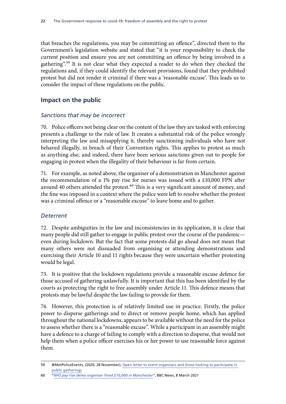<span id="page-23-0"></span>that breaches the regulations, you may be committing an offence", directed them to the Government's legislation website and stated that "it is your responsibility to check the current position and ensure you are not committing an offence by being involved in a gathering".59 It is not clear what they expected a reader to do when they checked the regulations and, if they could identify the relevant provisions, found that they prohibited protest but did not render it criminal if there was a 'reasonable excuse'. This leads us to consider the impact of these regulations on the public.

### **Impact on the public**

### *Sanctions that may be incorrect*

70. Police officers not being clear on the content of the law they are tasked with enforcing presents a challenge to the rule of law. It creates a substantial risk of the police wrongly interpreting the law and misapplying it, thereby sanctioning individuals who have not behaved illegally, in breach of their Convention rights. This applies to protest as much as anything else, and indeed, there have been serious sanctions given out to people for engaging in protest when the illegality of their behaviour is far from certain.

71. For example, as noted above, the organiser of a demonstration in Manchester against the recommendation of a 1% pay rise for nurses was issued with a £10,000 FPN after around 40 others attended the protest.<sup>60</sup> This is a very significant amount of money, and the fine was imposed in a context where the police were left to resolve whether the protest was a criminal offence or a "reasonable excuse" to leave home and to gather.

### *Deterrent*

72. Despite ambiguities in the law and inconsistencies in its application, it is clear that many people did still gather to engage in public protest over the course of the pandemic even during lockdown. But the fact that some protests did go ahead does not mean that many others were not dissuaded from organising or attending demonstrations and exercising their Article 10 and 11 rights because they were uncertain whether protesting would be legal.

73. It is positive that the lockdown regulations provide a reasonable excuse defence for those accused of gathering unlawfully. It is important that this has been identified by the courts as protecting the right to free assembly under Article 11. This defence means that protests may be lawful despite the law failing to provide for them.

74. However, this protection is of relatively limited use in practice. Firstly, the police power to disperse gatherings and to direct or remove people home, which has applied throughout the national lockdowns, appears to be available without the need for the police to assess whether there is a "reasonable excuse". While a participant in an assembly might have a defence to a charge of failing to comply with a direction to disperse, that would not help them when a police officer exercises his or her power to use reasonable force against them.

60 "*[NHS pay-rise demo organiser fined £10,000 in Manchester](https://www.bbc.co.uk/news/uk-england-manchester-56312817)*", BBC News, 8 March 2021

<sup>59</sup> @MetPoliceEvents, (2020, 28 November), [Open letter to event organisers and those looking to participate in](https://twitter.com/MetPoliceEvents/status/1332631406703468545/photo/1)  [public gatherings](https://twitter.com/MetPoliceEvents/status/1332631406703468545/photo/1)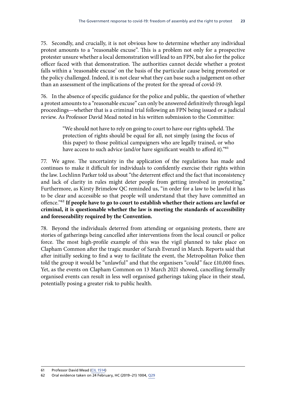75. Secondly, and crucially, it is not obvious how to determine whether any individual protest amounts to a "reasonable excuse". This is a problem not only for a prospective protester unsure whether a local demonstration will lead to an FPN, but also for the police officer faced with that demonstration. The authorities cannot decide whether a protest falls within a 'reasonable excuse' on the basis of the particular cause being promoted or the policy challenged. Indeed, it is not clear what they can base such a judgement on other than an assessment of the implications of the protest for the spread of covid-19.

76. In the absence of specific guidance for the police and public, the question of whether a protest amounts to a "reasonable excuse" can only be answered definitively through legal proceedings—whether that is a criminal trial following an FPN being issued or a judicial review. As Professor David Mead noted in his written submission to the Committee:

> "We should not have to rely on going to court to have our rights upheld. The protection of rights should be equal for all, not simply (using the focus of this paper) to those political campaigners who are legally trained, or who have access to such advice (and/or have significant wealth to afford it)."<sup>61</sup>

77. We agree. The uncertainty in the application of the regulations has made and continues to make it difficult for individuals to confidently exercise their rights within the law. Lochlinn Parker told us about "the deterrent effect and the fact that inconsistency and lack of clarity in rules might deter people from getting involved in protesting." Furthermore, as Kirsty Brimelow QC reminded us, "in order for a law to be lawful it has to be clear and accessible so that people will understand that they have committed an offence."62 **If people have to go to court to establish whether their actions are lawful or criminal, it is questionable whether the law is meeting the standards of accessibility and foreseeability required by the Convention.**

78. Beyond the individuals deterred from attending or organising protests, there are stories of gatherings being cancelled after interventions from the local council or police force. The most high-profile example of this was the vigil planned to take place on Clapham Common after the tragic murder of Sarah Everard in March. Reports said that after initially seeking to find a way to facilitate the event, the Metropolitan Police then told the group it would be "unlawful" and that the organisers "could" face £10,000 fines. Yet, as the events on Clapham Common on 13 March 2021 showed, cancelling formally organised events can result in less well organised gatherings taking place in their stead, potentially posing a greater risk to public health.

<sup>61</sup> Professor David Mead [\(CIL 1514\)](https://committees.parliament.uk/writtenevidence/21102/pdf/)

<sup>62</sup> Oral evidence taken on 24 February, HC (2019–21) 1004, [Q29](https://committees.parliament.uk/oralevidence/1757/pdf/)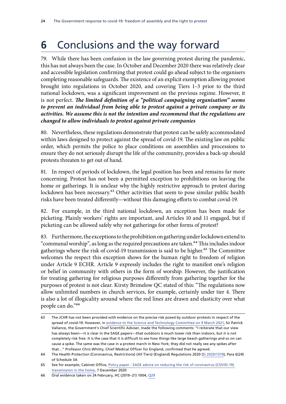## <span id="page-25-0"></span>**6** Conclusions and the way forward

79. While there has been confusion in the law governing protest during the pandemic, this has not always been the case. In October and December 2020 there was relatively clear and accessible legislation confirming that protest could go ahead subject to the organisers completing reasonable safeguards. The existence of an explicit exemption allowing protest brought into regulations in October 2020, and covering Tiers 1–3 prior to the third national lockdown, was a significant improvement on the previous regime. However, it is not perfect. *The limited definition of a "political campaigning organisation" seems to prevent an individual from being able to protest against a private company or its activities. We assume this is not the intention and recommend that the regulations are changed to allow individuals to protest against private companies*

80. Nevertheless, these regulations demonstrate that protest can be safely accommodated within laws designed to protect against the spread of covid-19. The existing law on public order, which permits the police to place conditions on assemblies and processions to ensure they do not seriously disrupt the life of the community, provides a back-up should protests threaten to get out of hand.

81. In respect of periods of lockdown, the legal position has been and remains far more concerning. Protest has not been a permitted exception to prohibitions on leaving the home or gatherings. It is unclear why the highly restrictive approach to protest during lockdown has been necessary.<sup>63</sup> Other activities that seem to pose similar public health risks have been treated differently—without this damaging efforts to combat covid-19.

82. For example, in the third national lockdown, an exception has been made for picketing. Plainly workers' rights are important, and Articles 10 and 11 engaged, but if picketing can be allowed safely why not gatherings for other forms of protest?

83. Furthermore, the exceptions to the prohibition on gathering under lockdown extend to "communal worship", as long as the required precautions are taken.<sup>64</sup> This includes indoor gatherings where the risk of covid-19 transmission is said to be higher.<sup>65</sup> The Committee welcomes the respect this exception shows for the human right to freedom of religion under Article 9 ECHR. Article 9 expressly includes the right to manifest one's religion or belief in community with others in the form of worship. However, the justification for treating gathering for religious purposes differently from gathering together for the purposes of protest is not clear. Kirsty Brimelow QC stated of this: "The regulations now allow unlimited numbers in church services, for example, certainly under tier 4. There is also a lot of illogicality around where the red lines are drawn and elasticity over what people can do."66

<sup>63</sup> The JCHR has not been provided with evidence on the precise risk posed by outdoor protests in respect of the spread of covid-19. However, in [evidence to the Science and Technology Committee on 9 March 2021](https://committees.parliament.uk/oralevidence/1845/html/), Sir Patrick Vallance, the Government's Chief Scientific Adviser, made the following comments: "I reiterate that our view has always been—it is clear in the SAGE papers—that outdoors is much lower risk than indoors, but it is not completely risk free. It is the case that it is difficult to see how things like large beach gatherings and so on can cause a spike. The same was the case in a protest march in New York; they did not really see any spikes after that…" Professor Chris Whitty, Chief Medical Officer for England, confirmed that he agreed.

<sup>64</sup> The Health Protection (Coronavirus, Restrictions) (All Tiers) (England) Regulations 2020 [\(SI 2020/1374\)](https://www.legislation.gov.uk/uksi/2020/1374/contents), Para 6(24) of Schedule 3A

<sup>65</sup> See for example, Cabinet Office, [Policy paper - SAGE advice on reducing the risk of coronavirus \(COVID-19\)](https://www.gov.uk/government/publications/sage-advice-on-reducing-the-risk-of-coronavirus-covid-19-transmission-in-the-home/sage-advice-on-reducing-the-risk-of-coronavirus-covid-19-transmission-in-the-home)  [transmission in the home,](https://www.gov.uk/government/publications/sage-advice-on-reducing-the-risk-of-coronavirus-covid-19-transmission-in-the-home/sage-advice-on-reducing-the-risk-of-coronavirus-covid-19-transmission-in-the-home) 7 December 2020

<sup>66</sup> Oral evidence taken on 24 February, HC (2019–21) 1004, [Q29](https://committees.parliament.uk/oralevidence/1757/pdf/)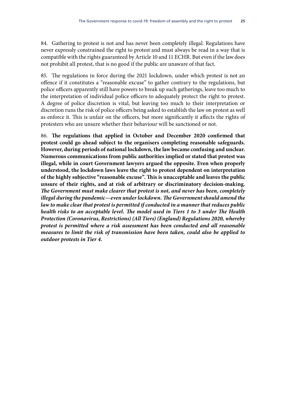84. Gathering to protest is not and has never been completely illegal. Regulations have never expressly constrained the right to protest and must always be read in a way that is compatible with the rights guaranteed by Article 10 and 11 ECHR. But even if the law does not prohibit all protest, that is no good if the public are unaware of that fact.

85. The regulations in force during the 2021 lockdown, under which protest is not an offence if it constitutes a "reasonable excuse" to gather contrary to the regulations, but police officers apparently still have powers to break up such gatherings, leave too much to the interpretation of individual police officers to adequately protect the right to protest. A degree of police discretion is vital, but leaving too much to their interpretation or discretion runs the risk of police officers being asked to establish the law on protest as well as enforce it. This is unfair on the officers, but more significantly it affects the rights of protesters who are unsure whether their behaviour will be sanctioned or not.

86. **The regulations that applied in October and December 2020 confirmed that protest could go ahead subject to the organisers completing reasonable safeguards. However, during periods of national lockdown, the law became confusing and unclear. Numerous communications from public authorities implied or stated that protest was illegal, while in court Government lawyers argued the opposite. Even when properly understood, the lockdown laws leave the right to protest dependent on interpretation of the highly subjective "reasonable excuse". This is unacceptable and leaves the public unsure of their rights, and at risk of arbitrary or discriminatory decision-making.**  *The Government must make clearer that protest is not, and never has been, completely illegal during the pandemic—even under lockdown. The Government should amend the law to make clear that protest is permitted if conducted in a manner that reduces public health risks to an acceptable level. The model used in Tiers 1 to 3 under The Health Protection (Coronavirus, Restrictions) (All Tiers) (England) Regulations 2020, whereby protest is permitted where a risk assessment has been conducted and all reasonable measures to limit the risk of transmission have been taken, could also be applied to outdoor protests in Tier 4.*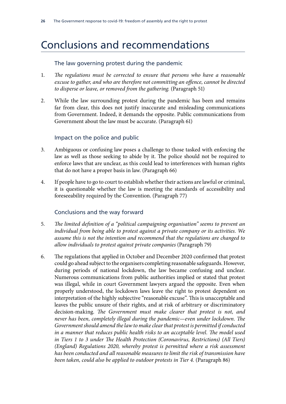## <span id="page-27-0"></span>Conclusions and recommendations

#### The law governing protest during the pandemic

- 1. *The regulations must be corrected to ensure that persons who have a reasonable excuse to gather, and who are therefore not committing an offence, cannot be directed to disperse or leave, or removed from the gathering.* (Paragraph 51)
- 2. While the law surrounding protest during the pandemic has been and remains far from clear, this does not justify inaccurate and misleading communications from Government. Indeed, it demands the opposite. Public communications from Government about the law must be accurate. (Paragraph 61)

#### Impact on the police and public

- 3. Ambiguous or confusing law poses a challenge to those tasked with enforcing the law as well as those seeking to abide by it. The police should not be required to enforce laws that are unclear, as this could lead to interferences with human rights that do not have a proper basis in law. (Paragraph 66)
- 4. If people have to go to court to establish whether their actions are lawful or criminal, it is questionable whether the law is meeting the standards of accessibility and foreseeability required by the Convention. (Paragraph 77)

#### Conclusions and the way forward

- 5. *The limited definition of a "political campaigning organisation" seems to prevent an individual from being able to protest against a private company or its activities. We assume this is not the intention and recommend that the regulations are changed to allow individuals to protest against private companies* (Paragraph 79)
- 6. The regulations that applied in October and December 2020 confirmed that protest could go ahead subject to the organisers completing reasonable safeguards. However, during periods of national lockdown, the law became confusing and unclear. Numerous communications from public authorities implied or stated that protest was illegal, while in court Government lawyers argued the opposite. Even when properly understood, the lockdown laws leave the right to protest dependent on interpretation of the highly subjective "reasonable excuse". This is unacceptable and leaves the public unsure of their rights, and at risk of arbitrary or discriminatory decision-making. *The Government must make clearer that protest is not, and never has been, completely illegal during the pandemic—even under lockdown. The Government should amend the law to make clear that protest is permitted if conducted*  in a manner that reduces public health risks to an acceptable level. The model used *in Tiers 1 to 3 under The Health Protection (Coronavirus, Restrictions) (All Tiers) (England) Regulations 2020, whereby protest is permitted where a risk assessment has been conducted and all reasonable measures to limit the risk of transmission have been taken, could also be applied to outdoor protests in Tier 4. (Paragraph 86)*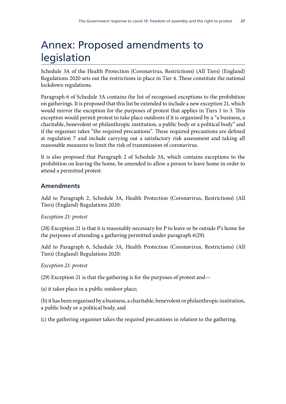## <span id="page-28-0"></span>Annex: Proposed amendments to legislation

Schedule 3A of the Health Protection (Coronavirus, Restrictions) (All Tiers) (England) Regulations 2020 sets out the restrictions in place in Tier 4. These constitute the national lockdown regulations.

Paragraph 6 of Schedule 3A contains the list of recognised exceptions to the prohibition on gatherings. It is proposed that this list be extended to include a new exception 21, which would mirror the exception for the purposes of protest that applies in Tiers 1 to 3. This exception would permit protest to take place outdoors if it is organised by a "a business, a charitable, benevolent or philanthropic institution, a public body or a political body" and if the organiser takes "the required precautions". These required precautions are defined at regulation 7 and include carrying out a satisfactory risk assessment and taking all reasonable measures to limit the risk of transmission of coronavirus.

It is also proposed that Paragraph 2 of Schedule 3A, which contains exceptions to the prohibition on leaving the home, be amended to allow a person to leave home in order to attend a permitted protest.

## **Amendments**

Add to Paragraph 2, Schedule 3A, Health Protection (Coronavirus, Restrictions) (All Tiers) (England) Regulations 2020:

#### *Exception 21: protest*

(28) Exception 21 is that it is reasonably necessary for P to leave or be outside P's home for the purposes of attending a gathering permitted under paragraph 6(29).

Add to Paragraph 6, Schedule 3A, Health Protection (Coronavirus, Restrictions) (All Tiers) (England) Regulations 2020:

#### *Exception 21: protest*

(29) Exception 21 is that the gathering is for the purposes of protest and—

(a) it takes place in a public outdoor place;

(b) it has been organised by a business, a charitable, benevolent or philanthropic institution, a public body or a political body, and

(c) the gathering organiser takes the required precautions in relation to the gathering.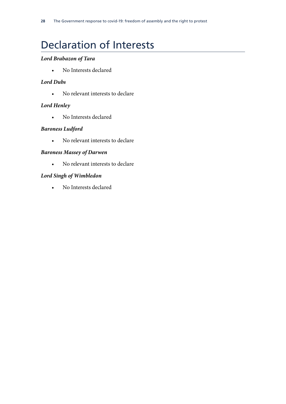## <span id="page-29-0"></span>Declaration of Interests

#### *Lord Brabazon of Tara*

• No Interests declared

#### *Lord Dubs*

• No relevant interests to declare

#### *Lord Henley*

• No Interests declared

#### *Baroness Ludford*

• No relevant interests to declare

## *Baroness Massey of Darwen*

• No relevant interests to declare

#### *Lord Singh of Wimbledon*

• No Interests declared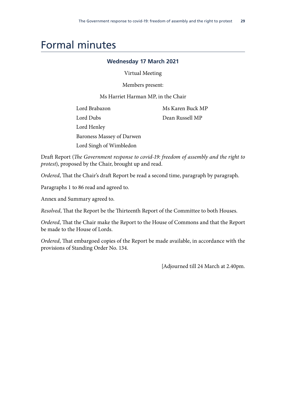## <span id="page-30-0"></span>Formal minutes

#### **Wednesday 17 March 2021**

Virtual Meeting

Members present:

Ms Harriet Harman MP, in the Chair

Lord Brabazon Lord Dubs Lord Henley Baroness Massey of Darwen Lord Singh of Wimbledon Ms Karen Buck MP Dean Russell MP

Draft Report (*The Government response to covid-19: freedom of assembly and the right to protest*), proposed by the Chair, brought up and read.

*Ordered*, That the Chair's draft Report be read a second time, paragraph by paragraph.

Paragraphs 1 to 86 read and agreed to.

Annex and Summary agreed to.

*Resolved*, That the Report be the Thirteenth Report of the Committee to both Houses.

*Ordered*, That the Chair make the Report to the House of Commons and that the Report be made to the House of Lords.

*Ordered*, That embargoed copies of the Report be made available, in accordance with the provisions of Standing Order No. 134.

[Adjourned till 24 March at 2.40pm.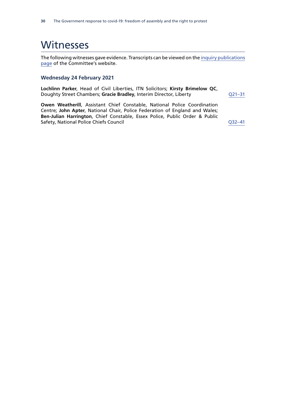## <span id="page-31-0"></span>**Witnesses**

The following witnesses gave evidence. Transcripts can be viewed on the [inquiry publications](https://committees.parliament.uk/event/3720/formal-meeting-oral-evidence-session/) [page](https://committees.parliament.uk/event/3720/formal-meeting-oral-evidence-session/) of the Committee's website.

#### **Wednesday 24 February 2021**

**Lochlinn Parker**, Head of Civil Liberties, ITN Solicitors; **Kirsty Brimelow QC**, Doughty Street Chambers; **Gracie Bradley**, Interim Director, Liberty [Q21–31](https://committees.parliament.uk/oralevidence/1757/html/)

**Owen Weatherill**, Assistant Chief Constable, National Police Coordination Centre; **John Apter**, National Chair, Police Federation of England and Wales; **Ben-Julian Harrington**, Chief Constable, Essex Police, Public Order & Public Safety, National Police Chiefs Council Communications and COS2-41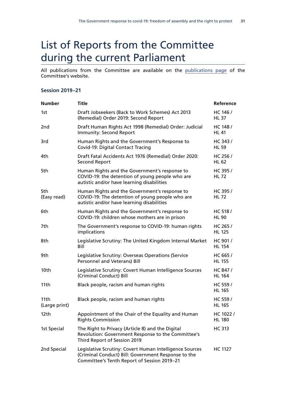## <span id="page-32-0"></span>List of Reports from the Committee during the current Parliament

All publications from the Committee are available on the [publications page](https://committees.parliament.uk/committee/93/human-rights-joint-committee/publications/) of the Committee's website.

#### **Session 2019–21**

| <b>Number</b>         | <b>Title</b>                                                                                                                                                  | Reference                  |
|-----------------------|---------------------------------------------------------------------------------------------------------------------------------------------------------------|----------------------------|
| 1st                   | Draft Jobseekers (Back to Work Schemes) Act 2013<br>(Remedial) Order 2019: Second Report                                                                      | HC 146 /<br><b>HL 37</b>   |
| 2nd                   | Draft Human Rights Act 1998 (Remedial) Order: Judicial<br>Immunity: Second Report                                                                             | HC 148/<br><b>HL 41</b>    |
| 3rd                   | Human Rights and the Government's Response to<br>Covid-19: Digital Contact Tracing                                                                            | HC 343/<br><b>HL 59</b>    |
| 4th                   | Draft Fatal Accidents Act 1976 (Remedial) Order 2020:<br><b>Second Report</b>                                                                                 | HC 256 /<br><b>HL 62</b>   |
| 5th                   | Human Rights and the Government's response to<br>COVID-19: the detention of young people who are<br>autistic and/or have learning disabilities                | HC 395 /<br><b>HL72</b>    |
| 5th<br>(Easy read)    | Human Rights and the Government's response to<br>COVID-19: The detention of young people who are<br>autistic and/or have learning disabilities                | HC 395 /<br><b>HL 72</b>   |
| 6th                   | Human Rights and the Government's response to<br>COVID-19: children whose mothers are in prison                                                               | HC 518 /<br><b>HL 90</b>   |
| 7th                   | The Government's response to COVID-19: human rights<br>implications                                                                                           | HC 265 /<br><b>HL 125</b>  |
| 8th                   | Legislative Scrutiny: The United Kingdom Internal Market<br>Bill                                                                                              | HC 901/<br><b>HL 154</b>   |
| 9th                   | Legislative Scrutiny: Overseas Operations (Service<br>Personnel and Veterans) Bill                                                                            | HC 665/<br><b>HL 155</b>   |
| 10th                  | Legislative Scrutiny: Covert Human Intelligence Sources<br>(Criminal Conduct) Bill                                                                            | HC 847/<br><b>HL 164</b>   |
| 11th                  | Black people, racism and human rights                                                                                                                         | HC 559 /<br><b>HL 165</b>  |
| 11th<br>(Large print) | Black people, racism and human rights                                                                                                                         | HC 559 /<br><b>HL 165</b>  |
| 12 <sub>th</sub>      | Appointment of the Chair of the Equality and Human<br><b>Rights Commission</b>                                                                                | HC 1022 /<br><b>HL 180</b> |
| 1st Special           | The Right to Privacy (Article 8) and the Digital<br>Revolution: Government Response to the Committee's<br>Third Report of Session 2019                        | <b>HC 313</b>              |
| 2nd Special           | Legislative Scrutiny: Covert Human Intelligence Sources<br>(Criminal Conduct) Bill: Government Response to the<br>Committee's Tenth Report of Session 2019-21 | <b>HC 1127</b>             |